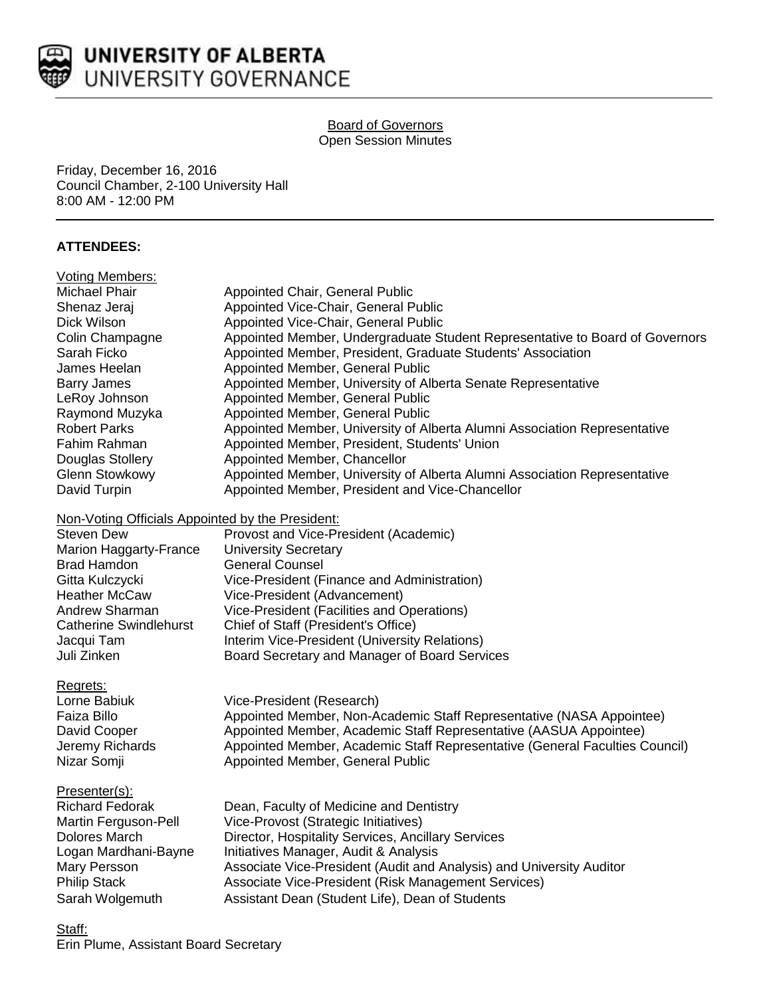

## Board of Governors Open Session Minutes

Friday, December 16, 2016 Council Chamber, 2-100 University Hall 8:00 AM - 12:00 PM

# **ATTENDEES:**

| Voting Members:                                  |                                                                              |
|--------------------------------------------------|------------------------------------------------------------------------------|
| Michael Phair                                    | Appointed Chair, General Public                                              |
| Shenaz Jeraj                                     | Appointed Vice-Chair, General Public                                         |
| Dick Wilson                                      | Appointed Vice-Chair, General Public                                         |
| Colin Champagne                                  | Appointed Member, Undergraduate Student Representative to Board of Governors |
| Sarah Ficko                                      | Appointed Member, President, Graduate Students' Association                  |
| James Heelan                                     | Appointed Member, General Public                                             |
| Barry James                                      | Appointed Member, University of Alberta Senate Representative                |
| LeRoy Johnson                                    | Appointed Member, General Public                                             |
| Raymond Muzyka                                   | Appointed Member, General Public                                             |
| Robert Parks                                     | Appointed Member, University of Alberta Alumni Association Representative    |
| Fahim Rahman                                     | Appointed Member, President, Students' Union                                 |
| Douglas Stollery                                 | Appointed Member, Chancellor                                                 |
| Glenn Stowkowy                                   | Appointed Member, University of Alberta Alumni Association Representative    |
| David Turpin                                     | Appointed Member, President and Vice-Chancellor                              |
| Non-Voting Officials Appointed by the President: |                                                                              |
| <b>Steven Dew</b>                                | Provost and Vice-President (Academic)                                        |
| Marion Haggarty-France                           | <b>University Secretary</b>                                                  |
| Brad Hamdon                                      | <b>General Counsel</b>                                                       |
| Gitta Kulczycki                                  | Vice-President (Finance and Administration)                                  |
| Heather McCaw                                    | Vice-President (Advancement)                                                 |
| Andrew Sharman                                   | Vice-President (Facilities and Operations)                                   |
| <b>Catherine Swindlehurst</b>                    | Chief of Staff (President's Office)                                          |
| Jacqui Tam                                       | Interim Vice-President (University Relations)                                |
| Juli Zinken                                      | Board Secretary and Manager of Board Services                                |
| Regrets:                                         |                                                                              |
| Lorne Babiuk                                     | Vice-President (Research)                                                    |
| Faiza Billo                                      | Appointed Member, Non-Academic Staff Representative (NASA Appointee)         |
| David Cooper                                     | Appointed Member, Academic Staff Representative (AASUA Appointee)            |
| Jeremy Richards                                  | Appointed Member, Academic Staff Representative (General Faculties Council)  |
| Nizar Somji                                      | Appointed Member, General Public                                             |
| Presenter(s):                                    |                                                                              |
| Richard Fedorak                                  | Dean, Faculty of Medicine and Dentistry                                      |
| Martin Ferguson-Pell                             | Vice-Provost (Strategic Initiatives)                                         |
| Dolores March                                    | Director, Hospitality Services, Ancillary Services                           |
| Logan Mardhani-Bayne                             | Initiatives Manager, Audit & Analysis                                        |
| Mary Persson                                     | Associate Vice-President (Audit and Analysis) and University Auditor         |
| <b>Philip Stack</b>                              | Associate Vice-President (Risk Management Services)                          |
| Sarah Wolgemuth                                  | Assistant Dean (Student Life), Dean of Students                              |
|                                                  |                                                                              |
|                                                  |                                                                              |

Staff: Erin Plume, Assistant Board Secretary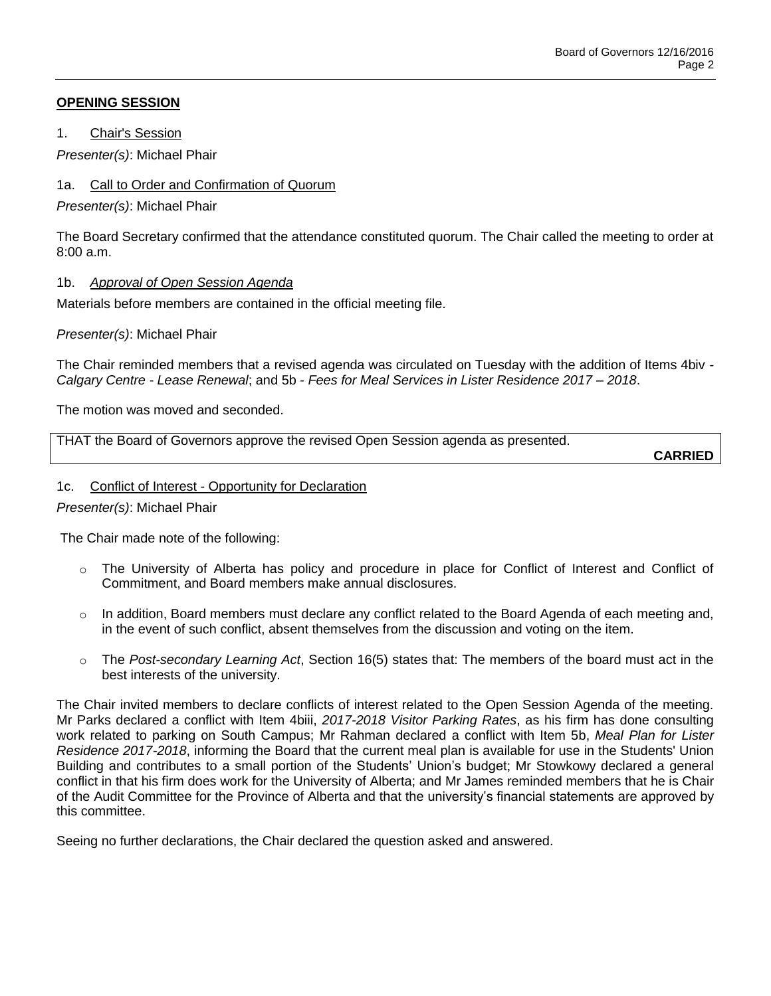## **OPENING SESSION**

1. Chair's Session

*Presenter(s)*: Michael Phair

# 1a. Call to Order and Confirmation of Quorum

*Presenter(s)*: Michael Phair

The Board Secretary confirmed that the attendance constituted quorum. The Chair called the meeting to order at 8:00 a.m.

# 1b. *Approval of Open Session Agenda*

Materials before members are contained in the official meeting file.

*Presenter(s)*: Michael Phair

The Chair reminded members that a revised agenda was circulated on Tuesday with the addition of Items 4biv - *Calgary Centre - Lease Renewal*; and 5b - *Fees for Meal Services in Lister Residence 2017 – 2018*.

The motion was moved and seconded.

THAT the Board of Governors approve the revised Open Session agenda as presented.

**CARRIED**

### 1c. Conflict of Interest - Opportunity for Declaration

*Presenter(s)*: Michael Phair

The Chair made note of the following:

- o The University of Alberta has policy and procedure in place for Conflict of Interest and Conflict of Commitment, and Board members make annual disclosures.
- $\circ$  In addition, Board members must declare any conflict related to the Board Agenda of each meeting and, in the event of such conflict, absent themselves from the discussion and voting on the item.
- o The *Post-secondary Learning Act*, Section 16(5) states that: The members of the board must act in the best interests of the university.

The Chair invited members to declare conflicts of interest related to the Open Session Agenda of the meeting. Mr Parks declared a conflict with Item 4biii, *2017-2018 Visitor Parking Rates*, as his firm has done consulting work related to parking on South Campus; Mr Rahman declared a conflict with Item 5b, *Meal Plan for Lister Residence 2017-2018*, informing the Board that the current meal plan is available for use in the Students' Union Building and contributes to a small portion of the Students' Union's budget; Mr Stowkowy declared a general conflict in that his firm does work for the University of Alberta; and Mr James reminded members that he is Chair of the Audit Committee for the Province of Alberta and that the university's financial statements are approved by this committee.

Seeing no further declarations, the Chair declared the question asked and answered.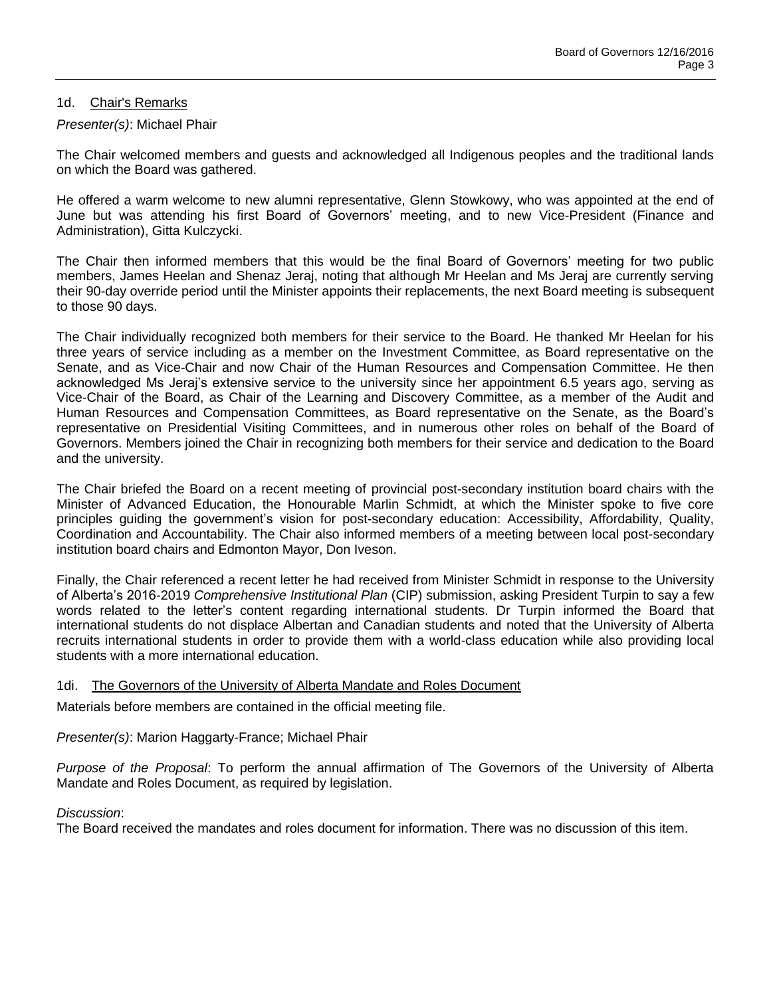#### 1d. Chair's Remarks

#### *Presenter(s)*: Michael Phair

The Chair welcomed members and guests and acknowledged all Indigenous peoples and the traditional lands on which the Board was gathered.

He offered a warm welcome to new alumni representative, Glenn Stowkowy, who was appointed at the end of June but was attending his first Board of Governors' meeting, and to new Vice-President (Finance and Administration), Gitta Kulczycki.

The Chair then informed members that this would be the final Board of Governors' meeting for two public members, James Heelan and Shenaz Jeraj, noting that although Mr Heelan and Ms Jeraj are currently serving their 90-day override period until the Minister appoints their replacements, the next Board meeting is subsequent to those 90 days.

The Chair individually recognized both members for their service to the Board. He thanked Mr Heelan for his three years of service including as a member on the Investment Committee, as Board representative on the Senate, and as Vice-Chair and now Chair of the Human Resources and Compensation Committee. He then acknowledged Ms Jeraj's extensive service to the university since her appointment 6.5 years ago, serving as Vice-Chair of the Board, as Chair of the Learning and Discovery Committee, as a member of the Audit and Human Resources and Compensation Committees, as Board representative on the Senate, as the Board's representative on Presidential Visiting Committees, and in numerous other roles on behalf of the Board of Governors. Members joined the Chair in recognizing both members for their service and dedication to the Board and the university.

The Chair briefed the Board on a recent meeting of provincial post-secondary institution board chairs with the Minister of Advanced Education, the Honourable Marlin Schmidt, at which the Minister spoke to five core principles guiding the government's vision for post-secondary education: Accessibility, Affordability, Quality, Coordination and Accountability. The Chair also informed members of a meeting between local post-secondary institution board chairs and Edmonton Mayor, Don Iveson.

Finally, the Chair referenced a recent letter he had received from Minister Schmidt in response to the University of Alberta's 2016-2019 *Comprehensive Institutional Plan* (CIP) submission, asking President Turpin to say a few words related to the letter's content regarding international students. Dr Turpin informed the Board that international students do not displace Albertan and Canadian students and noted that the University of Alberta recruits international students in order to provide them with a world-class education while also providing local students with a more international education.

#### 1di. The Governors of the University of Alberta Mandate and Roles Document

Materials before members are contained in the official meeting file.

### *Presenter(s)*: Marion Haggarty-France; Michael Phair

*Purpose of the Proposal*: To perform the annual affirmation of The Governors of the University of Alberta Mandate and Roles Document, as required by legislation.

#### *Discussion*:

The Board received the mandates and roles document for information. There was no discussion of this item.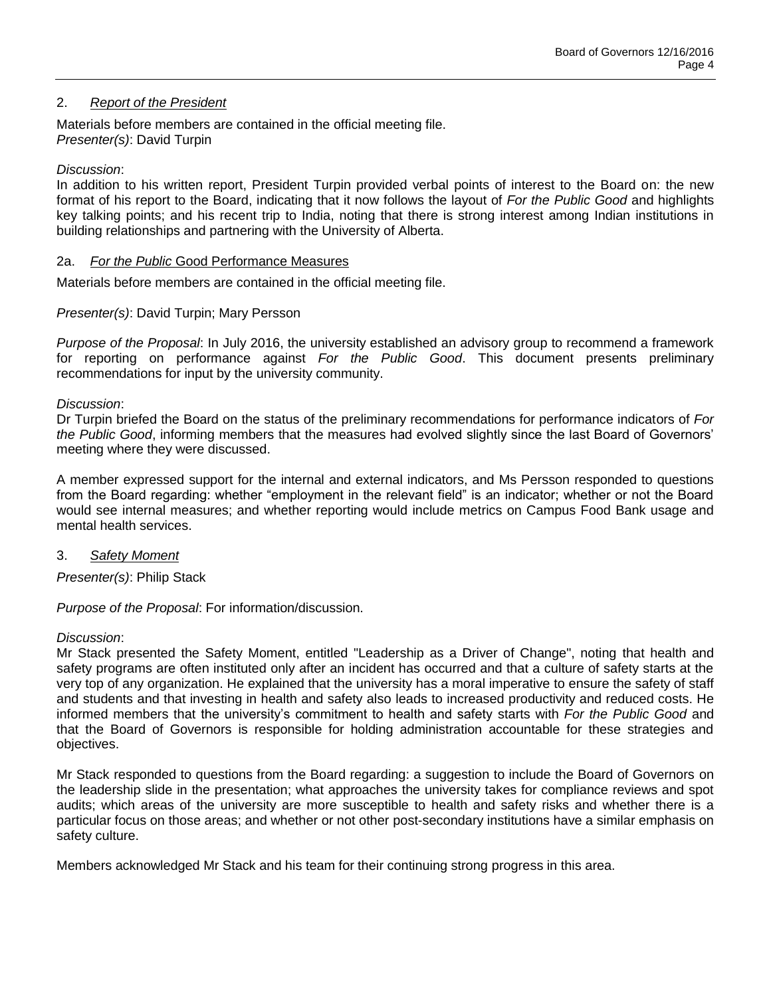## 2. *Report of the President*

Materials before members are contained in the official meeting file. *Presenter(s)*: David Turpin

## *Discussion*:

In addition to his written report, President Turpin provided verbal points of interest to the Board on: the new format of his report to the Board, indicating that it now follows the layout of *For the Public Good* and highlights key talking points; and his recent trip to India, noting that there is strong interest among Indian institutions in building relationships and partnering with the University of Alberta.

### 2a. *For the Public* Good Performance Measures

Materials before members are contained in the official meeting file.

### *Presenter(s)*: David Turpin; Mary Persson

*Purpose of the Proposal*: In July 2016, the university established an advisory group to recommend a framework for reporting on performance against *For the Public Good*. This document presents preliminary recommendations for input by the university community.

#### *Discussion*:

Dr Turpin briefed the Board on the status of the preliminary recommendations for performance indicators of *For the Public Good*, informing members that the measures had evolved slightly since the last Board of Governors' meeting where they were discussed.

A member expressed support for the internal and external indicators, and Ms Persson responded to questions from the Board regarding: whether "employment in the relevant field" is an indicator; whether or not the Board would see internal measures; and whether reporting would include metrics on Campus Food Bank usage and mental health services.

### 3. *Safety Moment*

*Presenter(s)*: Philip Stack

*Purpose of the Proposal*: For information/discussion.

### *Discussion*:

Mr Stack presented the Safety Moment, entitled "Leadership as a Driver of Change", noting that health and safety programs are often instituted only after an incident has occurred and that a culture of safety starts at the very top of any organization. He explained that the university has a moral imperative to ensure the safety of staff and students and that investing in health and safety also leads to increased productivity and reduced costs. He informed members that the university's commitment to health and safety starts with *For the Public Good* and that the Board of Governors is responsible for holding administration accountable for these strategies and objectives.

Mr Stack responded to questions from the Board regarding: a suggestion to include the Board of Governors on the leadership slide in the presentation; what approaches the university takes for compliance reviews and spot audits; which areas of the university are more susceptible to health and safety risks and whether there is a particular focus on those areas; and whether or not other post-secondary institutions have a similar emphasis on safety culture.

Members acknowledged Mr Stack and his team for their continuing strong progress in this area.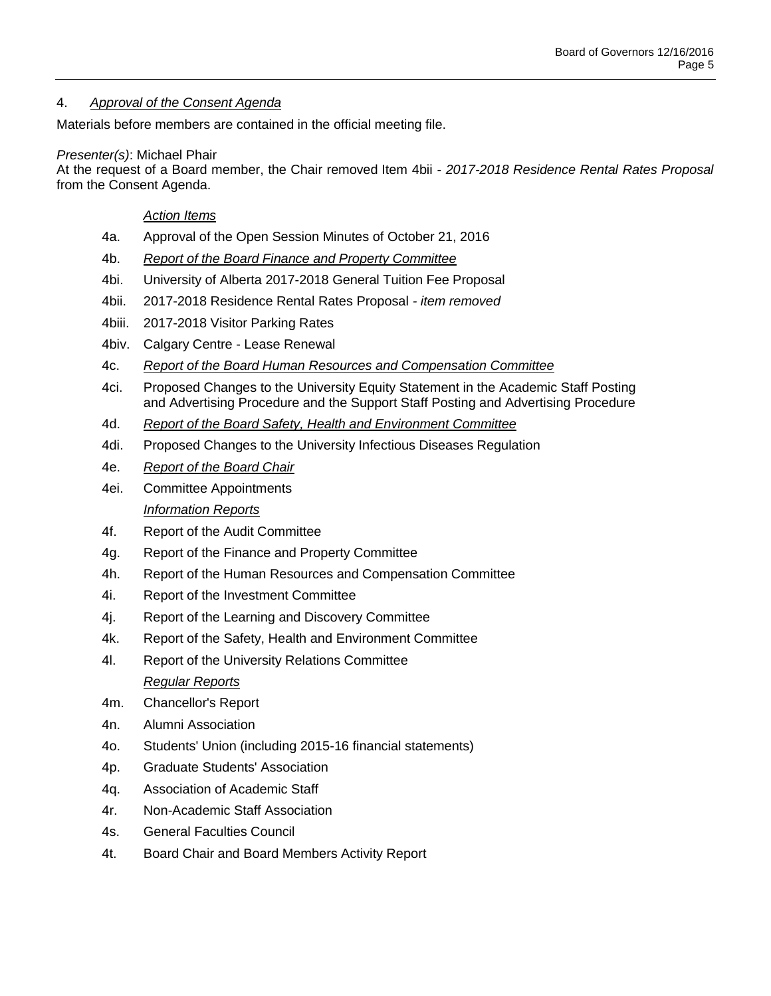# 4. *Approval of the Consent Agenda*

Materials before members are contained in the official meeting file.

### *Presenter(s)*: Michael Phair

At the request of a Board member, the Chair removed Item 4bii - *2017-2018 Residence Rental Rates Proposal* from the Consent Agenda.

## *Action Items*

- 4a. Approval of the Open Session Minutes of October 21, 2016
- 4b. *Report of the Board Finance and Property Committee*
- 4bi. University of Alberta 2017-2018 General Tuition Fee Proposal
- 4bii. 2017-2018 Residence Rental Rates Proposal *- item removed*
- 4biii. 2017-2018 Visitor Parking Rates
- 4biv. Calgary Centre Lease Renewal
- 4c. *Report of the Board Human Resources and Compensation Committee*
- 4ci. Proposed Changes to the University Equity Statement in the Academic Staff Posting and Advertising Procedure and the Support Staff Posting and Advertising Procedure
- 4d. *Report of the Board Safety, Health and Environment Committee*
- 4di. Proposed Changes to the University Infectious Diseases Regulation
- 4e. *Report of the Board Chair*
- 4ei. Committee Appointments *Information Reports*
- 4f. Report of the Audit Committee
- 4g. Report of the Finance and Property Committee
- 4h. Report of the Human Resources and Compensation Committee
- 4i. Report of the Investment Committee
- 4j. Report of the Learning and Discovery Committee
- 4k. Report of the Safety, Health and Environment Committee
- 4l. Report of the University Relations Committee *Regular Reports*
- 4m. Chancellor's Report
- 4n. Alumni Association
- 4o. Students' Union (including 2015-16 financial statements)
- 4p. Graduate Students' Association
- 4q. Association of Academic Staff
- 4r. Non-Academic Staff Association
- 4s. General Faculties Council
- 4t. Board Chair and Board Members Activity Report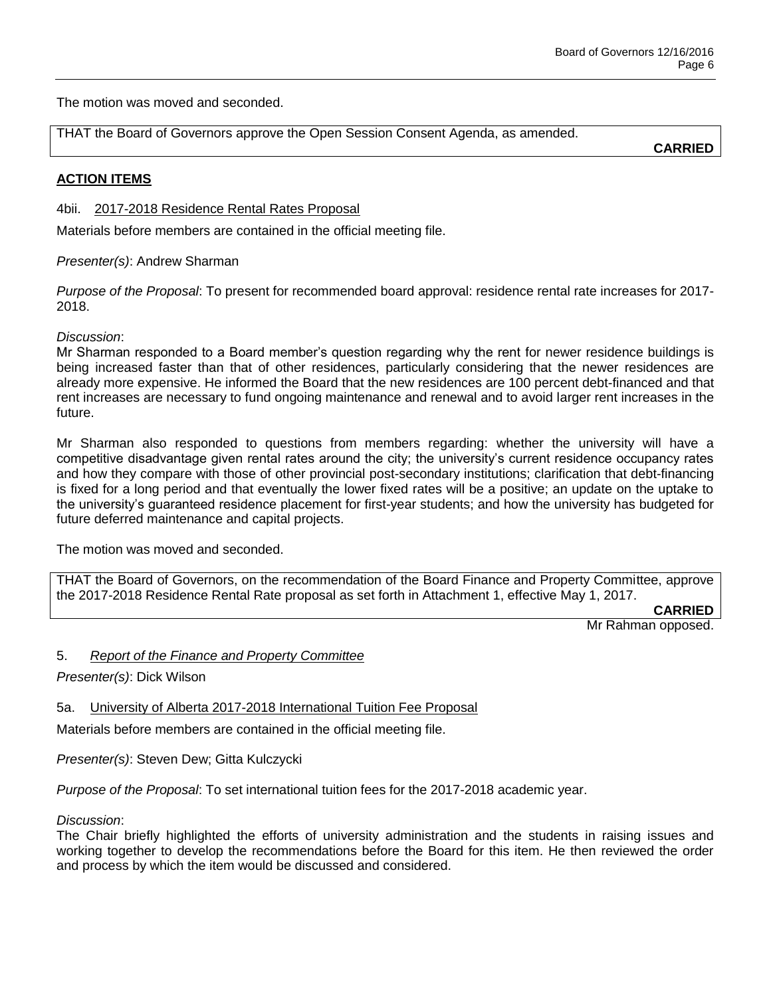The motion was moved and seconded.

THAT the Board of Governors approve the Open Session Consent Agenda, as amended.

**CARRIED**

# **ACTION ITEMS**

4bii. 2017-2018 Residence Rental Rates Proposal

Materials before members are contained in the official meeting file.

*Presenter(s)*: Andrew Sharman

*Purpose of the Proposal*: To present for recommended board approval: residence rental rate increases for 2017- 2018.

*Discussion*:

Mr Sharman responded to a Board member's question regarding why the rent for newer residence buildings is being increased faster than that of other residences, particularly considering that the newer residences are already more expensive. He informed the Board that the new residences are 100 percent debt-financed and that rent increases are necessary to fund ongoing maintenance and renewal and to avoid larger rent increases in the future.

Mr Sharman also responded to questions from members regarding: whether the university will have a competitive disadvantage given rental rates around the city; the university's current residence occupancy rates and how they compare with those of other provincial post-secondary institutions; clarification that debt-financing is fixed for a long period and that eventually the lower fixed rates will be a positive; an update on the uptake to the university's guaranteed residence placement for first-year students; and how the university has budgeted for future deferred maintenance and capital projects.

The motion was moved and seconded.

THAT the Board of Governors, on the recommendation of the Board Finance and Property Committee, approve the 2017-2018 Residence Rental Rate proposal as set forth in Attachment 1, effective May 1, 2017.

**CARRIED**

Mr Rahman opposed.

5. *Report of the Finance and Property Committee*

*Presenter(s)*: Dick Wilson

5a. University of Alberta 2017-2018 International Tuition Fee Proposal

Materials before members are contained in the official meeting file.

*Presenter(s)*: Steven Dew; Gitta Kulczycki

*Purpose of the Proposal*: To set international tuition fees for the 2017-2018 academic year.

*Discussion*:

The Chair briefly highlighted the efforts of university administration and the students in raising issues and working together to develop the recommendations before the Board for this item. He then reviewed the order and process by which the item would be discussed and considered.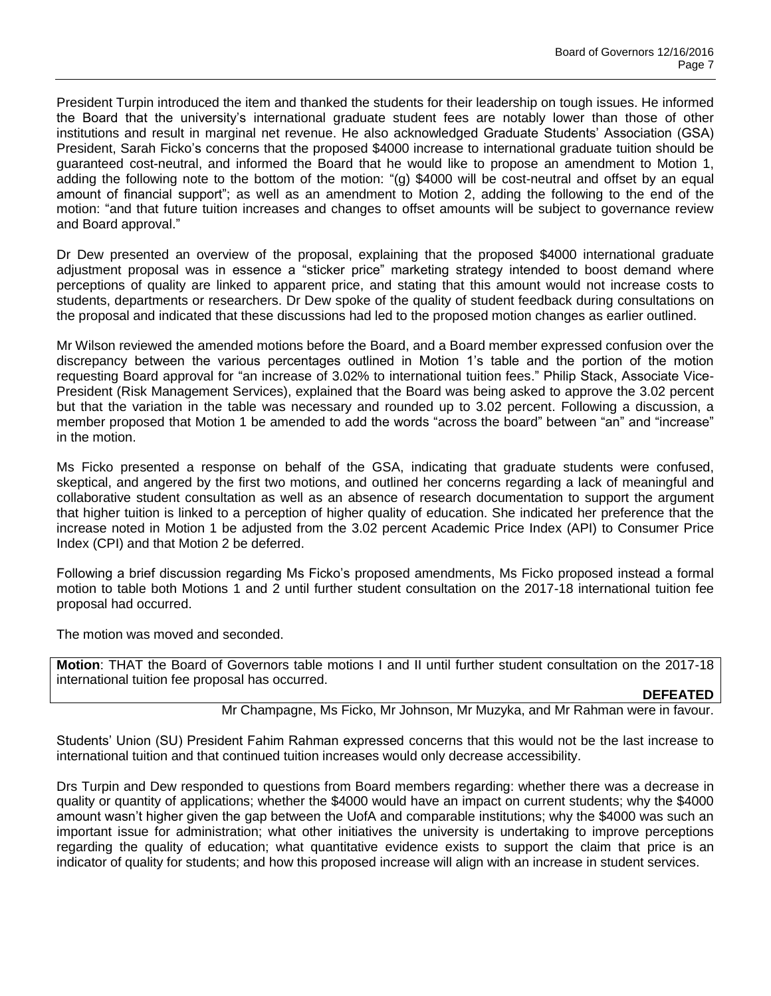President Turpin introduced the item and thanked the students for their leadership on tough issues. He informed the Board that the university's international graduate student fees are notably lower than those of other institutions and result in marginal net revenue. He also acknowledged Graduate Students' Association (GSA) President, Sarah Ficko's concerns that the proposed \$4000 increase to international graduate tuition should be guaranteed cost-neutral, and informed the Board that he would like to propose an amendment to Motion 1, adding the following note to the bottom of the motion: "(g) \$4000 will be cost-neutral and offset by an equal amount of financial support"; as well as an amendment to Motion 2, adding the following to the end of the motion: "and that future tuition increases and changes to offset amounts will be subject to governance review and Board approval."

Dr Dew presented an overview of the proposal, explaining that the proposed \$4000 international graduate adjustment proposal was in essence a "sticker price" marketing strategy intended to boost demand where perceptions of quality are linked to apparent price, and stating that this amount would not increase costs to students, departments or researchers. Dr Dew spoke of the quality of student feedback during consultations on the proposal and indicated that these discussions had led to the proposed motion changes as earlier outlined.

Mr Wilson reviewed the amended motions before the Board, and a Board member expressed confusion over the discrepancy between the various percentages outlined in Motion 1's table and the portion of the motion requesting Board approval for "an increase of 3.02% to international tuition fees." Philip Stack, Associate Vice-President (Risk Management Services), explained that the Board was being asked to approve the 3.02 percent but that the variation in the table was necessary and rounded up to 3.02 percent. Following a discussion, a member proposed that Motion 1 be amended to add the words "across the board" between "an" and "increase" in the motion.

Ms Ficko presented a response on behalf of the GSA, indicating that graduate students were confused, skeptical, and angered by the first two motions, and outlined her concerns regarding a lack of meaningful and collaborative student consultation as well as an absence of research documentation to support the argument that higher tuition is linked to a perception of higher quality of education. She indicated her preference that the increase noted in Motion 1 be adjusted from the 3.02 percent Academic Price Index (API) to Consumer Price Index (CPI) and that Motion 2 be deferred.

Following a brief discussion regarding Ms Ficko's proposed amendments, Ms Ficko proposed instead a formal motion to table both Motions 1 and 2 until further student consultation on the 2017-18 international tuition fee proposal had occurred.

The motion was moved and seconded.

**Motion**: THAT the Board of Governors table motions I and II until further student consultation on the 2017-18 international tuition fee proposal has occurred.

**DEFEATED**

Mr Champagne, Ms Ficko, Mr Johnson, Mr Muzyka, and Mr Rahman were in favour.

Students' Union (SU) President Fahim Rahman expressed concerns that this would not be the last increase to international tuition and that continued tuition increases would only decrease accessibility.

Drs Turpin and Dew responded to questions from Board members regarding: whether there was a decrease in quality or quantity of applications; whether the \$4000 would have an impact on current students; why the \$4000 amount wasn't higher given the gap between the UofA and comparable institutions; why the \$4000 was such an important issue for administration; what other initiatives the university is undertaking to improve perceptions regarding the quality of education; what quantitative evidence exists to support the claim that price is an indicator of quality for students; and how this proposed increase will align with an increase in student services.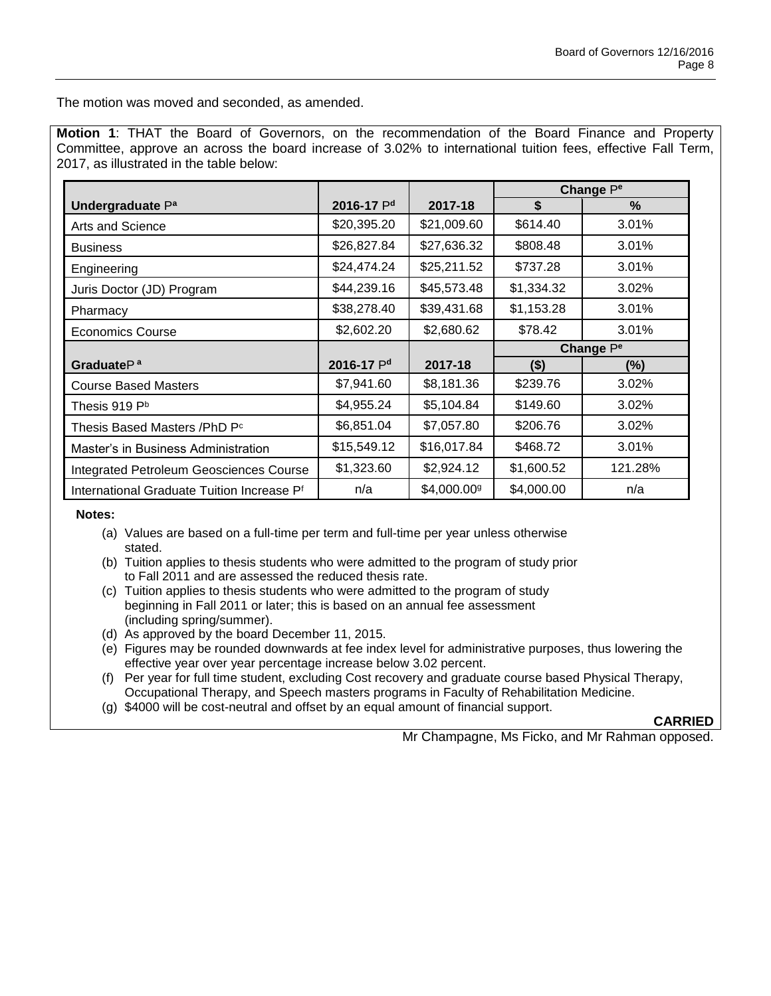The motion was moved and seconded, as amended.

**Motion 1**: THAT the Board of Governors, on the recommendation of the Board Finance and Property Committee, approve an across the board increase of 3.02% to international tuition fees, effective Fall Term, 2017, as illustrated in the table below:

|                                                |             |                         | Change P <sup>e</sup> |         |
|------------------------------------------------|-------------|-------------------------|-----------------------|---------|
| Undergraduate P <sup>a</sup>                   | 2016-17 Pd  | 2017-18                 | \$                    | $\%$    |
| Arts and Science                               | \$20,395.20 | \$21,009.60             | \$614.40              | 3.01%   |
| <b>Business</b>                                | \$26,827.84 | \$27,636.32             | \$808.48              | 3.01%   |
| Engineering                                    | \$24,474.24 | \$25,211.52             | \$737.28              | 3.01%   |
| Juris Doctor (JD) Program                      | \$44,239.16 | \$45,573.48             | \$1,334.32            | 3.02%   |
| Pharmacy                                       | \$38,278.40 | \$39,431.68             | \$1,153.28            | 3.01%   |
| <b>Economics Course</b>                        | \$2,602.20  | \$2,680.62              | \$78.42               | 3.01%   |
|                                                |             |                         | Change P <sup>e</sup> |         |
| Graduate $P^a$                                 | 2016-17 Pd  | 2017-18                 | $($ \$)               | $(\%)$  |
| <b>Course Based Masters</b>                    | \$7,941.60  | \$8,181.36              | \$239.76              | 3.02%   |
| Thesis 919 P <sup>b</sup>                      | \$4,955.24  | \$5,104.84              | \$149.60              | 3.02%   |
| Thesis Based Masters /PhD P <sup>c</sup>       | \$6,851.04  | \$7,057.80              | \$206.76              | 3.02%   |
| Master's in Business Administration            | \$15,549.12 | \$16,017.84             | \$468.72              | 3.01%   |
| <b>Integrated Petroleum Geosciences Course</b> | \$1,323.60  | \$2,924.12              | \$1,600.52            | 121.28% |
| International Graduate Tuition Increase Pf     | n/a         | \$4,000.00 <sup>g</sup> | \$4,000.00            | n/a     |

 **Notes:**

- (a) Values are based on a full-time per term and full-time per year unless otherwise stated.
- (b) Tuition applies to thesis students who were admitted to the program of study prior to Fall 2011 and are assessed the reduced thesis rate.
- (c) Tuition applies to thesis students who were admitted to the program of study beginning in Fall 2011 or later; this is based on an annual fee assessment (including spring/summer).
- (d) As approved by the board December 11, 2015.
- (e) Figures may be rounded downwards at fee index level for administrative purposes, thus lowering the effective year over year percentage increase below 3.02 percent.
- (f) Per year for full time student, excluding Cost recovery and graduate course based Physical Therapy, Occupational Therapy, and Speech masters programs in Faculty of Rehabilitation Medicine.
- (g) \$4000 will be cost-neutral and offset by an equal amount of financial support.

**CARRIED**

Mr Champagne, Ms Ficko, and Mr Rahman opposed.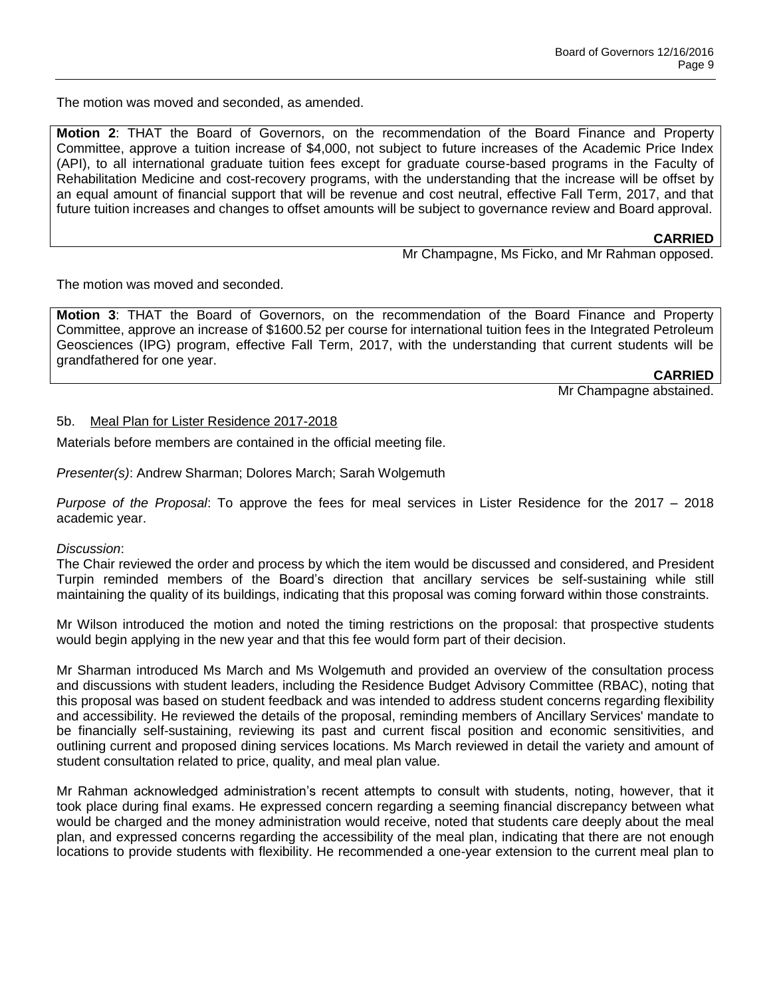The motion was moved and seconded, as amended.

**Motion 2**: THAT the Board of Governors, on the recommendation of the Board Finance and Property Committee, approve a tuition increase of \$4,000, not subject to future increases of the Academic Price Index (API), to all international graduate tuition fees except for graduate course-based programs in the Faculty of Rehabilitation Medicine and cost-recovery programs, with the understanding that the increase will be offset by an equal amount of financial support that will be revenue and cost neutral, effective Fall Term, 2017, and that future tuition increases and changes to offset amounts will be subject to governance review and Board approval.

### **CARRIED**

Mr Champagne, Ms Ficko, and Mr Rahman opposed.

The motion was moved and seconded.

**Motion 3**: THAT the Board of Governors, on the recommendation of the Board Finance and Property Committee, approve an increase of \$1600.52 per course for international tuition fees in the Integrated Petroleum Geosciences (IPG) program, effective Fall Term, 2017, with the understanding that current students will be grandfathered for one year.

**CARRIED**

Mr Champagne abstained.

### 5b. Meal Plan for Lister Residence 2017-2018

Materials before members are contained in the official meeting file.

*Presenter(s)*: Andrew Sharman; Dolores March; Sarah Wolgemuth

*Purpose of the Proposal*: To approve the fees for meal services in Lister Residence for the 2017 – 2018 academic year.

#### *Discussion*:

The Chair reviewed the order and process by which the item would be discussed and considered, and President Turpin reminded members of the Board's direction that ancillary services be self-sustaining while still maintaining the quality of its buildings, indicating that this proposal was coming forward within those constraints.

Mr Wilson introduced the motion and noted the timing restrictions on the proposal: that prospective students would begin applying in the new year and that this fee would form part of their decision.

Mr Sharman introduced Ms March and Ms Wolgemuth and provided an overview of the consultation process and discussions with student leaders, including the Residence Budget Advisory Committee (RBAC), noting that this proposal was based on student feedback and was intended to address student concerns regarding flexibility and accessibility. He reviewed the details of the proposal, reminding members of Ancillary Services' mandate to be financially self-sustaining, reviewing its past and current fiscal position and economic sensitivities, and outlining current and proposed dining services locations. Ms March reviewed in detail the variety and amount of student consultation related to price, quality, and meal plan value.

Mr Rahman acknowledged administration's recent attempts to consult with students, noting, however, that it took place during final exams. He expressed concern regarding a seeming financial discrepancy between what would be charged and the money administration would receive, noted that students care deeply about the meal plan, and expressed concerns regarding the accessibility of the meal plan, indicating that there are not enough locations to provide students with flexibility. He recommended a one-year extension to the current meal plan to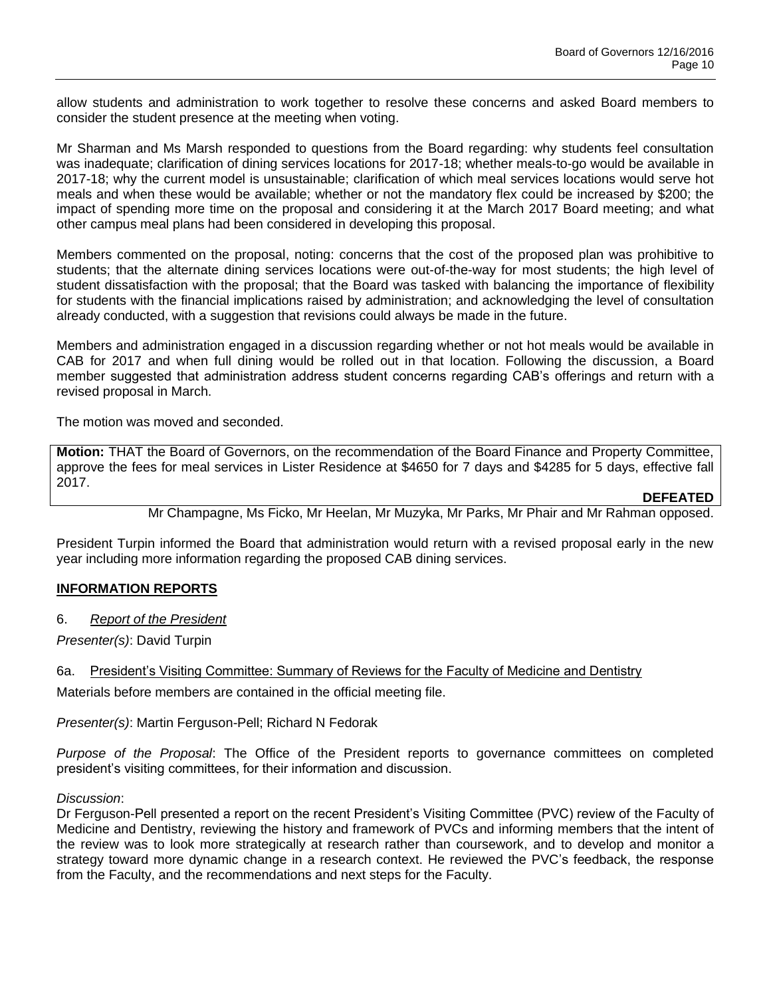allow students and administration to work together to resolve these concerns and asked Board members to consider the student presence at the meeting when voting.

Mr Sharman and Ms Marsh responded to questions from the Board regarding: why students feel consultation was inadequate; clarification of dining services locations for 2017-18; whether meals-to-go would be available in 2017-18; why the current model is unsustainable; clarification of which meal services locations would serve hot meals and when these would be available; whether or not the mandatory flex could be increased by \$200; the impact of spending more time on the proposal and considering it at the March 2017 Board meeting; and what other campus meal plans had been considered in developing this proposal.

Members commented on the proposal, noting: concerns that the cost of the proposed plan was prohibitive to students; that the alternate dining services locations were out-of-the-way for most students; the high level of student dissatisfaction with the proposal; that the Board was tasked with balancing the importance of flexibility for students with the financial implications raised by administration; and acknowledging the level of consultation already conducted, with a suggestion that revisions could always be made in the future.

Members and administration engaged in a discussion regarding whether or not hot meals would be available in CAB for 2017 and when full dining would be rolled out in that location. Following the discussion, a Board member suggested that administration address student concerns regarding CAB's offerings and return with a revised proposal in March.

The motion was moved and seconded.

**Motion:** THAT the Board of Governors, on the recommendation of the Board Finance and Property Committee, approve the fees for meal services in Lister Residence at \$4650 for 7 days and \$4285 for 5 days, effective fall 2017.

**DEFEATED**

### Mr Champagne, Ms Ficko, Mr Heelan, Mr Muzyka, Mr Parks, Mr Phair and Mr Rahman opposed.

President Turpin informed the Board that administration would return with a revised proposal early in the new year including more information regarding the proposed CAB dining services.

### **INFORMATION REPORTS**

6. *Report of the President*

*Presenter(s)*: David Turpin

### 6a. President's Visiting Committee: Summary of Reviews for the Faculty of Medicine and Dentistry

Materials before members are contained in the official meeting file.

*Presenter(s)*: Martin Ferguson-Pell; Richard N Fedorak

*Purpose of the Proposal*: The Office of the President reports to governance committees on completed president's visiting committees, for their information and discussion.

#### *Discussion*:

Dr Ferguson-Pell presented a report on the recent President's Visiting Committee (PVC) review of the Faculty of Medicine and Dentistry, reviewing the history and framework of PVCs and informing members that the intent of the review was to look more strategically at research rather than coursework, and to develop and monitor a strategy toward more dynamic change in a research context. He reviewed the PVC's feedback, the response from the Faculty, and the recommendations and next steps for the Faculty.